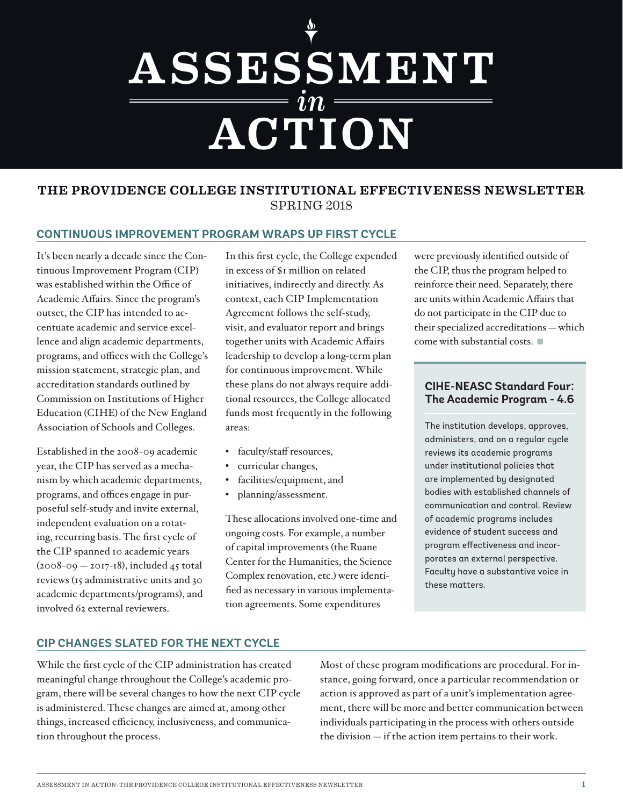# *in* ASSESSMENT **ACTION**

## SPRING 2018 THE PROVIDENCE COLLEGE INSTITUTIONAL EFFECTIVENESS NEWSLETTER

#### **CONTINUOUS IMPROVEMENT PROGRAM WRAPS UP FIRST CYCLE**

It's been nearly a decade since the Continuous Improvement Program (CIP) was established within the Office of Academic Affairs. Since the program's outset, the CIP has intended to accentuate academic and service excellence and align academic departments, programs, and offices with the College's mission statement, strategic plan, and accreditation standards outlined by Commission on Institutions of Higher Education (CIHE) of the New England Association of Schools and Colleges.

Established in the 2008-09 academic year, the CIP has served as a mechanism by which academic departments, programs, and offices engage in purposeful self-study and invite external, independent evaluation on a rotating, recurring basis. The first cycle of the CIP spanned 10 academic years  $(2008-09 - 2017-18)$ , included 45 total reviews (15 administrative units and 30 academic departments/programs), and involved 62 external reviewers.

In this first cycle, the College expended in excess of \$1 million on related initiatives, indirectly and directly. As context, each CIP Implementation Agreement follows the self-study, visit, and evaluator report and brings together units with Academic Affairs leadership to develop a long-term plan for continuous improvement. While these plans do not always require additional resources, the College allocated funds most frequently in the following areas:

- faculty/staff resources,
- curricular changes,
- facilities/equipment, and
- planning/assessment.

These allocations involved one-time and ongoing costs. For example, a number of capital improvements (the Ruane Center for the Humanities, the Science Complex renovation, etc.) were identified as necessary in various implementation agreements. Some expenditures

were previously identified outside of the CIP, thus the program helped to reinforce their need. Separately, there are units within Academic Affairs that do not participate in the CIP due to their specialized accreditations — which come with substantial costs. ■

#### **CIHE-NEASC Standard Four: The Academic Program - 4.6**

The institution develops, approves, administers, and on a regular cycle reviews its academic programs under institutional policies that are implemented by designated bodies with established channels of communication and control. Review of academic programs includes evidence of student success and program effectiveness and incorporates an external perspective. Faculty have a substantive voice in these matters.

## **CIP CHANGES SLATED FOR THE NEXT CYCLE**

While the first cycle of the CIP administration has created meaningful change throughout the College's academic program, there will be several changes to how the next CIP cycle is administered. These changes are aimed at, among other things, increased efficiency, inclusiveness, and communication throughout the process.

Most of these program modifications are procedural. For instance, going forward, once a particular recommendation or action is approved as part of a unit's implementation agreement, there will be more and better communication between individuals participating in the process with others outside the division — if the action item pertains to their work.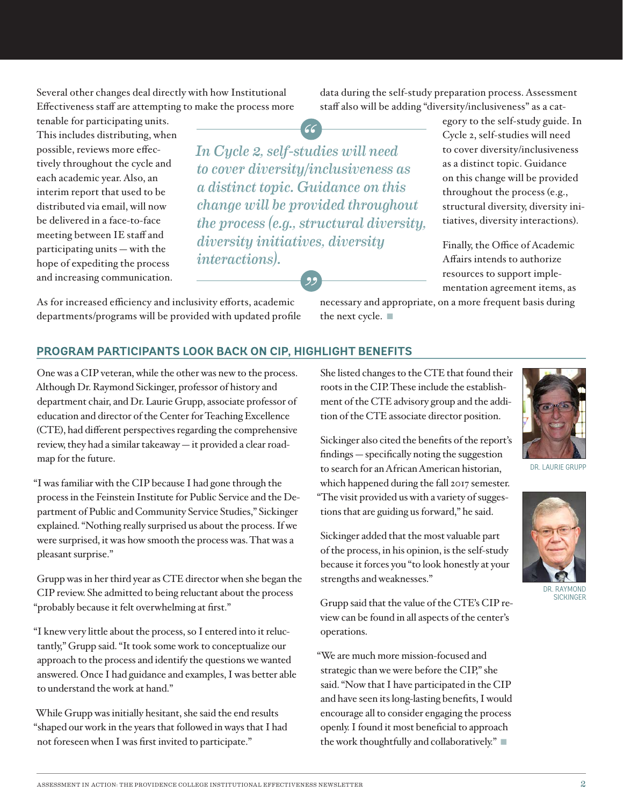Several other changes deal directly with how Institutional Effectiveness staff are attempting to make the process more

tenable for participating units. This includes distributing, when possible, reviews more effectively throughout the cycle and each academic year. Also, an interim report that used to be distributed via email, will now be delivered in a face-to-face meeting between IE staff and participating units — with the hope of expediting the process and increasing communication.

*In Cycle 2, self-studies will need to cover diversity/inclusiveness as a distinct topic. Guidance on this change will be provided throughout the process (e.g., structural diversity, diversity initiatives, diversity interactions).* )<br>29

As for increased efficiency and inclusivity efforts, academic departments/programs will be provided with updated profile data during the self-study preparation process. Assessment staff also will be adding "diversity/inclusiveness" as a cat-

> egory to the self-study guide. In Cycle 2, self-studies will need to cover diversity/inclusiveness as a distinct topic. Guidance on this change will be provided throughout the process (e.g., structural diversity, diversity initiatives, diversity interactions).

Finally, the Office of Academic Affairs intends to authorize resources to support implementation agreement items, as

necessary and appropriate, on a more frequent basis during the next cycle. ■

### **PROGRAM PARTICIPANTS LOOK BACK ON CIP, HIGHLIGHT BENEFITS**

One was a CIP veteran, while the other was new to the process. Although Dr. Raymond Sickinger, professor of history and department chair, and Dr. Laurie Grupp, associate professor of education and director of the Center for Teaching Excellence (CTE), had different perspectives regarding the comprehensive review, they had a similar takeaway — it provided a clear roadmap for the future.

"I was familiar with the CIP because I had gone through the process in the Feinstein Institute for Public Service and the Department of Public and Community Service Studies," Sickinger explained. "Nothing really surprised us about the process. If we were surprised, it was how smooth the process was. That was a pleasant surprise."

Grupp was in her third year as CTE director when she began the CIP review. She admitted to being reluctant about the process "probably because it felt overwhelming at first."

"I knew very little about the process, so I entered into it reluctantly," Grupp said. "It took some work to conceptualize our approach to the process and identify the questions we wanted answered. Once I had guidance and examples, I was better able to understand the work at hand."

While Grupp was initially hesitant, she said the end results "shaped our work in the years that followed in ways that I had not foreseen when I was first invited to participate."

She listed changes to the CTE that found their roots in the CIP. These include the establishment of the CTE advisory group and the addition of the CTE associate director position.

Sickinger also cited the benefits of the report's findings — specifically noting the suggestion to search for an African American historian, which happened during the fall 2017 semester. "The visit provided us with a variety of suggestions that are guiding us forward," he said.

Sickinger added that the most valuable part of the process, in his opinion, is the self-study because it forces you "to look honestly at your strengths and weaknesses."

Grupp said that the value of the CTE's CIP review can be found in all aspects of the center's operations.

"We are much more mission-focused and strategic than we were before the CIP," she said. "Now that I have participated in the CIP and have seen its long-lasting benefits, I would encourage all to consider engaging the process openly. I found it most beneficial to approach the work thoughtfully and collaboratively." ■



DR. LAURIE GRUPP



RAYMOND **SICKINGER**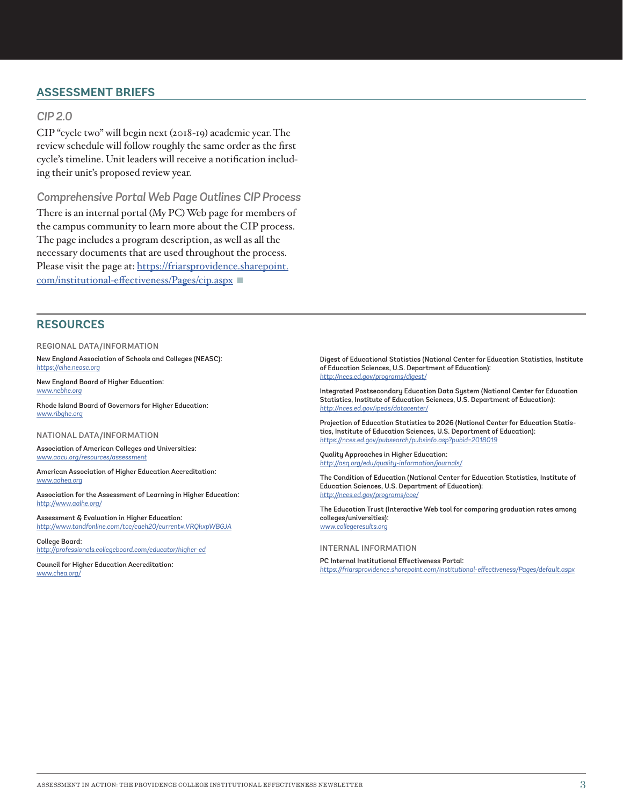## **ASSESSMENT BRIEFS**

#### *CIP 2.0*

CIP "cycle two" will begin next (2018-19) academic year. The review schedule will follow roughly the same order as the first cycle's timeline. Unit leaders will receive a notification including their unit's proposed review year.

*Comprehensive Portal Web Page Outlines CIP Process*

There is an internal portal (My PC) Web page for members of the campus community to learn more about the CIP process. The page includes a program description, as well as all the necessary documents that are used throughout the process. Please visit the page at: [https://friarsprovidence.sharepoint.](https://friarsprovidence.sharepoint.com/institutional-effectiveness/Pages/cip.aspx) [com/institutional-effectiveness/Pages/cip.aspx](https://friarsprovidence.sharepoint.com/institutional-effectiveness/Pages/cip.aspx) ■

## **RESOURCES**

REGIONAL DATA/INFORMATION

New England Association of Schools and Colleges (NEASC): *<https://cihe.neasc.org>*

New England Board of Higher Education: *[www.nebhe.org](http://www.nebhe.org)*

Rhode Island Board of Governors for Higher Education: *[www.ribghe.org](http://www.ribghe.org)*

NATIONAL DATA/INFORMATION

Association of American Colleges and Universities: *[www.aacu.org/resources/assessment](http://www.aacu.org/resources/assessment)*

American Association of Higher Education Accreditation: *[www.aahea.org](http://www.aahea.org)*

Association for the Assessment of Learning in Higher Education: *<http://www.aalhe.org/>*

Assessment & Evaluation in Higher Education: *[http://www.tandfonline.com/toc/caeh20/current#.VRQkxpWBGJA](https://www.tandfonline.com/toc/caeh20/current#.VRQkxpWBGJA)*

College Board: *<http://professionals.collegeboard.com/educator/higher-ed>*

Council for Higher Education Accreditation: *[www.chea.org/](http://www.chea.org/)*

Digest of Educational Statistics (National Center for Education Statistics, Institute of Education Sciences, U.S. Department of Education): *<http://nces.ed.gov/programs/digest/>*

Integrated Postsecondary Education Data System (National Center for Education Statistics, Institute of Education Sciences, U.S. Department of Education): *<http://nces.ed.gov/ipeds/datacenter/>*

Projection of Education Statistics to 2026 (National Center for Education Statistics, Institute of Education Sciences, U.S. Department of Education): *<https://nces.ed.gov/pubsearch/pubsinfo.asp?pubid=2018019>*

Quality Approaches in Higher Education: *<http://asq.org/edu/quality-information/journals/>*

The Condition of Education (National Center for Education Statistics, Institute of Education Sciences, U.S. Department of Education): *<http://nces.ed.gov/programs/coe/>*

The Education Trust (Interactive Web tool for comparing graduation rates among colleges/universities): *[www.collegeresults.org](http://www.collegeresults.org)*

INTERNAL INFORMATION

PC Internal Institutional Effectiveness Portal: *<https://friarsprovidence.sharepoint.com/institutional-effectiveness/Pages/default.aspx>*